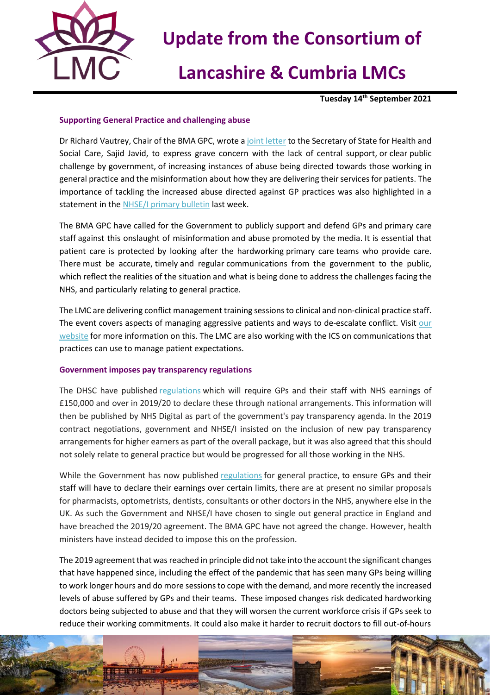

# **Update from the Consortium of**

# **Lancashire & Cumbria LMCs**

**Tuesday 14th September 2021**

### **Supporting General Practice and challenging abuse**

Dr Richard Vautrey, Chair of the BMA GPC, wrote [a joint letter](https://i.emlfiles4.com/cmpdoc/3/7/7/5/2/files/841106_bma-rcgp-igpm-and-nhs-confed-joint-letter-to-sos-09sept21.pdf?utm_source=The%20British%20Medical%20Association&utm_medium=email&utm_campaign=12645090_GP%20ENEWSLETTER%20090921&dm_t=0,0,0,0,0) to the Secretary of State for Health and Social Care, Sajid Javid, to express grave concern with the lack of central support, or clear public challenge by government, of increasing instances of abuse being directed towards those working in general practice and the misinformation about how they are delivering their services for patients. The importance of tackling the increased abuse directed against GP practices was also highlighted in a statement in the [NHSE/I primary bulletin](https://generalpracticebulletin.cmail20.com/t/ViewEmail/d/0AF6F707F65313132540EF23F30FEDED/8BF2ECA055A892734AB3169DA1FD82E9) last week.

The BMA GPC have called for the Government to publicly support and defend GPs and primary care staff against this onslaught of misinformation and abuse promoted by the media. It is essential that patient care is protected by looking after the hardworking primary care teams who provide care. There must be accurate, timely and regular communications from the government to the public, which reflect the realities of the situation and what is being done to address the challenges facing the NHS, and particularly relating to general practice.

The LMC are delivering conflict management training sessions to clinical and non-clinical practice staff. The event covers aspects of managing aggressive patients and ways to de-escalate conflict. Visit our [website](https://nwlmcs.org/events/categories/lmc-training-events) for more information on this. The LMC are also working with the ICS on communications that practices can use to manage patient expectations.

#### **Government imposes pay transparency regulations**

The DHSC have published [regulations](https://www.legislation.gov.uk/uksi/2021/995/made) which will require GPs and their staff with NHS earnings of £150,000 and over in 2019/20 to declare these through national arrangements. This information will then be published by NHS Digital as part of the government's pay transparency agenda. In the 2019 contract negotiations, government and NHSE/I insisted on the inclusion of new pay transparency arrangements for higher earners as part of the overall package, but it was also agreed that this should not solely relate to general practice but would be progressed for all those working in the NHS.

While the Government has now published [regulations](https://www.legislation.gov.uk/uksi/2021/995/made) for general practice, to ensure GPs and their staff will have to declare their earnings over certain limits, there are at present no similar proposals for pharmacists, optometrists, dentists, consultants or other doctors in the NHS, anywhere else in the UK. As such the Government and NHSE/I have chosen to single out general practice in England and have breached the 2019/20 agreement. The BMA GPC have not agreed the change. However, health ministers have instead decided to impose this on the profession.

The 2019 agreement that was reached in principle did not take into the account the significant changes that have happened since, including the effect of the pandemic that has seen many GPs being willing to work longer hours and do more sessions to cope with the demand, and more recently the increased levels of abuse suffered by GPs and their teams. These imposed changes risk dedicated hardworking doctors being subjected to abuse and that they will worsen the current workforce crisis if GPs seek to reduce their working commitments. It could also make it harder to recruit doctors to fill out-of-hours